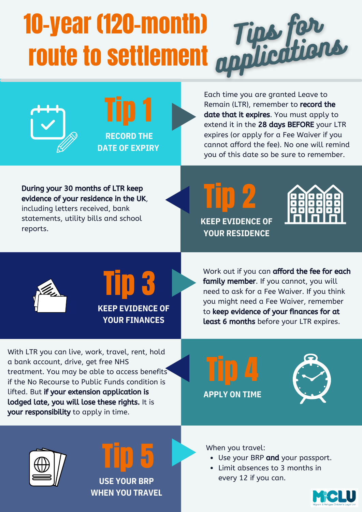# Tips for 10-year (120-month) route to settlement





Each time you are granted Leave to Remain (LTR), remember to record the date that it expires. You must apply to extend it in the 28 days BEFORE your LTR expires (or apply for a Fee Waiver if you cannot afford the fee). No one will remind you of this date so be sure to remember.

During your 30 months of LTR keep evidence of your residence in the UK, including letters received, bank statements, utility bills and school reports.







Tip 3 **KEEP EVIDENCE OF YOUR FINANCES**

Work out if you can afford the fee for each family member. If you cannot, you will need to ask for a Fee Waiver. If you think you might need a Fee Waiver, remember to keep evidence of your finances for at least 6 months before your LTR expires.

With LTR you can live, work, travel, rent, hold a bank account, drive, get free NHS treatment. You may be able to access benefits if the No Recourse to Public Funds condition is lifted. But if your extension application is lodged late, you will lose these rights. It is your responsibility to apply in time.









**USE YOUR BRP WHEN YOU TRAVEL** When you travel:

- Use your BRP and your passport.
- Limit absences to 3 months in every 12 if you can.